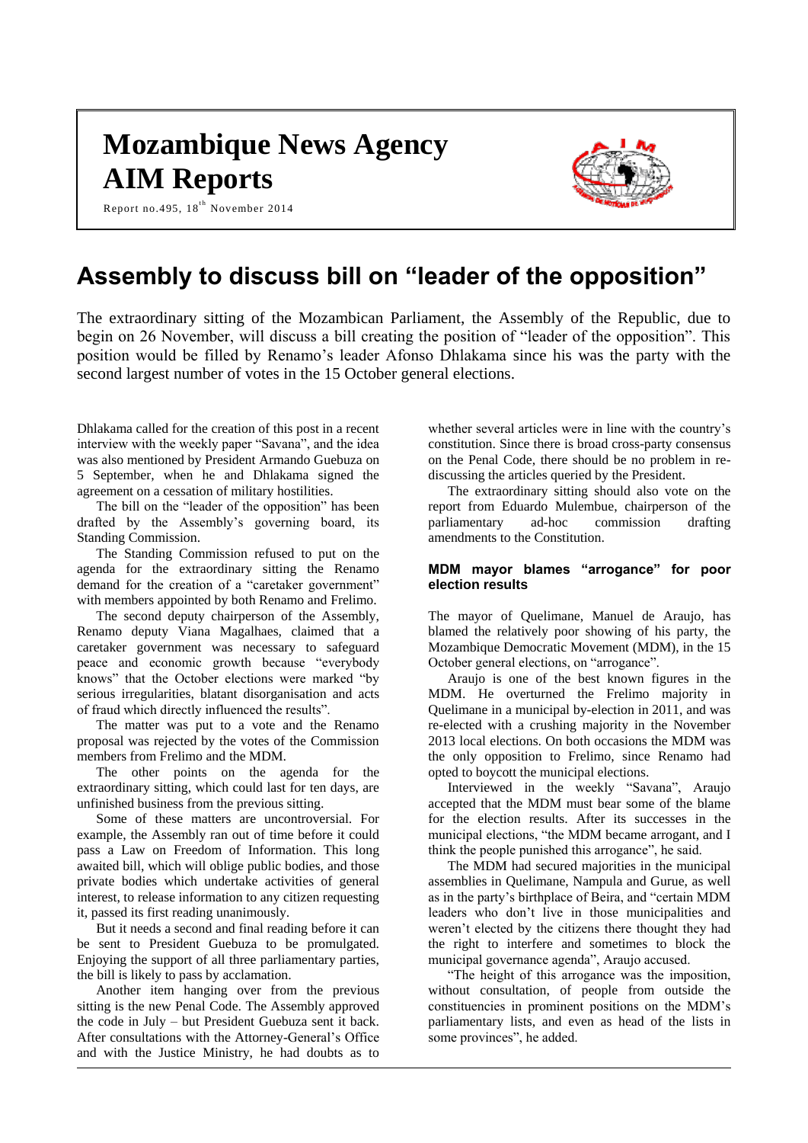# **Mozambique News Agency AIM Reports**

Report no.495,  $18^{th}$  November 2014



### **Assembly to discuss bill on "leader of the opposition"**

The extraordinary sitting of the Mozambican Parliament, the Assembly of the Republic, due to begin on 26 November, will discuss a bill creating the position of "leader of the opposition". This position would be filled by Renamo's leader Afonso Dhlakama since his was the party with the second largest number of votes in the 15 October general elections.

Dhlakama called for the creation of this post in a recent interview with the weekly paper "Savana", and the idea was also mentioned by President Armando Guebuza on 5 September, when he and Dhlakama signed the agreement on a cessation of military hostilities.

The bill on the "leader of the opposition" has been drafted by the Assembly's governing board, its Standing Commission.

The Standing Commission refused to put on the agenda for the extraordinary sitting the Renamo demand for the creation of a "caretaker government" with members appointed by both Renamo and Frelimo.

The second deputy chairperson of the Assembly, Renamo deputy Viana Magalhaes, claimed that a caretaker government was necessary to safeguard peace and economic growth because "everybody knows" that the October elections were marked "by serious irregularities, blatant disorganisation and acts of fraud which directly influenced the results".

The matter was put to a vote and the Renamo proposal was rejected by the votes of the Commission members from Frelimo and the MDM.

The other points on the agenda for the extraordinary sitting, which could last for ten days, are unfinished business from the previous sitting.

Some of these matters are uncontroversial. For example, the Assembly ran out of time before it could pass a Law on Freedom of Information. This long awaited bill, which will oblige public bodies, and those private bodies which undertake activities of general interest, to release information to any citizen requesting it, passed its first reading unanimously.

But it needs a second and final reading before it can be sent to President Guebuza to be promulgated. Enjoying the support of all three parliamentary parties, the bill is likely to pass by acclamation.

Another item hanging over from the previous sitting is the new Penal Code. The Assembly approved the code in July – but President Guebuza sent it back. After consultations with the Attorney-General's Office and with the Justice Ministry, he had doubts as to

whether several articles were in line with the country's constitution. Since there is broad cross-party consensus on the Penal Code, there should be no problem in rediscussing the articles queried by the President.

The extraordinary sitting should also vote on the report from Eduardo Mulembue, chairperson of the parliamentary ad-hoc commission drafting amendments to the Constitution.

#### **MDM mayor blames "arrogance" for poor election results**

The mayor of Quelimane, Manuel de Araujo, has blamed the relatively poor showing of his party, the Mozambique Democratic Movement (MDM), in the 15 October general elections, on "arrogance".

Araujo is one of the best known figures in the MDM. He overturned the Frelimo majority in Quelimane in a municipal by-election in 2011, and was re-elected with a crushing majority in the November 2013 local elections. On both occasions the MDM was the only opposition to Frelimo, since Renamo had opted to boycott the municipal elections.

Interviewed in the weekly "Savana", Araujo accepted that the MDM must bear some of the blame for the election results. After its successes in the municipal elections, "the MDM became arrogant, and I think the people punished this arrogance", he said.

The MDM had secured majorities in the municipal assemblies in Quelimane, Nampula and Gurue, as well as in the party's birthplace of Beira, and "certain MDM leaders who don't live in those municipalities and weren't elected by the citizens there thought they had the right to interfere and sometimes to block the municipal governance agenda", Araujo accused.

"The height of this arrogance was the imposition, without consultation, of people from outside the constituencies in prominent positions on the MDM's parliamentary lists, and even as head of the lists in some provinces", he added.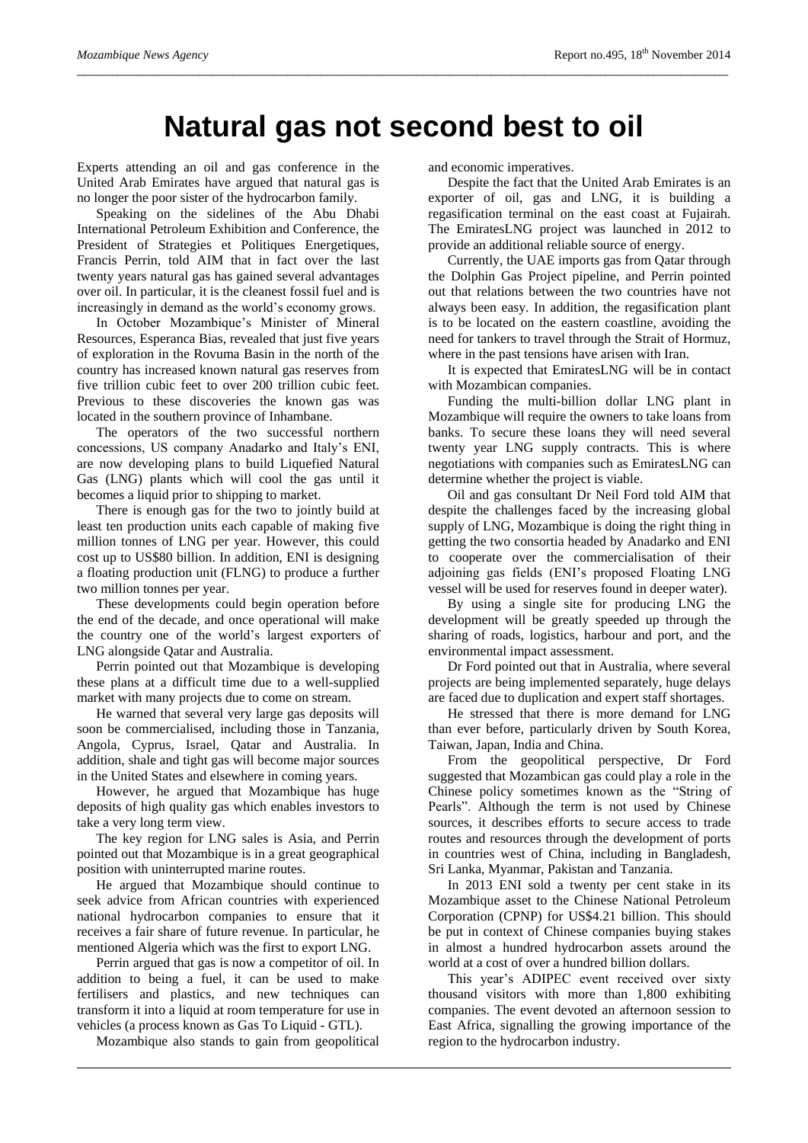## **Natural gas not second best to oil**

*\_\_\_\_\_\_\_\_\_\_\_\_\_\_\_\_\_\_\_\_\_\_\_\_\_\_\_\_\_\_\_\_\_\_\_\_\_\_\_\_\_\_\_\_\_\_\_\_\_\_\_\_\_\_\_\_\_\_\_\_\_\_\_\_\_\_\_\_\_\_\_\_\_\_\_\_\_\_\_\_\_\_\_\_\_\_\_\_\_\_\_\_\_\_\_\_*

Experts attending an oil and gas conference in the United Arab Emirates have argued that natural gas is no longer the poor sister of the hydrocarbon family.

Speaking on the sidelines of the Abu Dhabi International Petroleum Exhibition and Conference, the President of Strategies et Politiques Energetiques, Francis Perrin, told AIM that in fact over the last twenty years natural gas has gained several advantages over oil. In particular, it is the cleanest fossil fuel and is increasingly in demand as the world's economy grows.

In October Mozambique's Minister of Mineral Resources, Esperanca Bias, revealed that just five years of exploration in the Rovuma Basin in the north of the country has increased known natural gas reserves from five trillion cubic feet to over 200 trillion cubic feet. Previous to these discoveries the known gas was located in the southern province of Inhambane.

The operators of the two successful northern concessions, US company Anadarko and Italy's ENI, are now developing plans to build Liquefied Natural Gas (LNG) plants which will cool the gas until it becomes a liquid prior to shipping to market.

There is enough gas for the two to jointly build at least ten production units each capable of making five million tonnes of LNG per year. However, this could cost up to US\$80 billion. In addition, ENI is designing a floating production unit (FLNG) to produce a further two million tonnes per year.

These developments could begin operation before the end of the decade, and once operational will make the country one of the world's largest exporters of LNG alongside Qatar and Australia.

Perrin pointed out that Mozambique is developing these plans at a difficult time due to a well-supplied market with many projects due to come on stream.

He warned that several very large gas deposits will soon be commercialised, including those in Tanzania, Angola, Cyprus, Israel, Qatar and Australia. In addition, shale and tight gas will become major sources in the United States and elsewhere in coming years.

However, he argued that Mozambique has huge deposits of high quality gas which enables investors to take a very long term view.

The key region for LNG sales is Asia, and Perrin pointed out that Mozambique is in a great geographical position with uninterrupted marine routes.

He argued that Mozambique should continue to seek advice from African countries with experienced national hydrocarbon companies to ensure that it receives a fair share of future revenue. In particular, he mentioned Algeria which was the first to export LNG.

Perrin argued that gas is now a competitor of oil. In addition to being a fuel, it can be used to make fertilisers and plastics, and new techniques can transform it into a liquid at room temperature for use in vehicles (a process known as Gas To Liquid - GTL).

Mozambique also stands to gain from geopolitical

and economic imperatives.

Despite the fact that the United Arab Emirates is an exporter of oil, gas and LNG, it is building a regasification terminal on the east coast at Fujairah. The EmiratesLNG project was launched in 2012 to provide an additional reliable source of energy.

Currently, the UAE imports gas from Qatar through the Dolphin Gas Project pipeline, and Perrin pointed out that relations between the two countries have not always been easy. In addition, the regasification plant is to be located on the eastern coastline, avoiding the need for tankers to travel through the Strait of Hormuz, where in the past tensions have arisen with Iran.

It is expected that EmiratesLNG will be in contact with Mozambican companies.

Funding the multi-billion dollar LNG plant in Mozambique will require the owners to take loans from banks. To secure these loans they will need several twenty year LNG supply contracts. This is where negotiations with companies such as EmiratesLNG can determine whether the project is viable.

Oil and gas consultant Dr Neil Ford told AIM that despite the challenges faced by the increasing global supply of LNG, Mozambique is doing the right thing in getting the two consortia headed by Anadarko and ENI to cooperate over the commercialisation of their adjoining gas fields (ENI's proposed Floating LNG vessel will be used for reserves found in deeper water).

By using a single site for producing LNG the development will be greatly speeded up through the sharing of roads, logistics, harbour and port, and the environmental impact assessment.

Dr Ford pointed out that in Australia, where several projects are being implemented separately, huge delays are faced due to duplication and expert staff shortages.

He stressed that there is more demand for LNG than ever before, particularly driven by South Korea, Taiwan, Japan, India and China.

From the geopolitical perspective, Dr Ford suggested that Mozambican gas could play a role in the Chinese policy sometimes known as the "String of Pearls". Although the term is not used by Chinese sources, it describes efforts to secure access to trade routes and resources through the development of ports in countries west of China, including in Bangladesh, Sri Lanka, Myanmar, Pakistan and Tanzania.

In 2013 ENI sold a twenty per cent stake in its Mozambique asset to the Chinese National Petroleum Corporation (CPNP) for US\$4.21 billion. This should be put in context of Chinese companies buying stakes in almost a hundred hydrocarbon assets around the world at a cost of over a hundred billion dollars.

This year's ADIPEC event received over sixty thousand visitors with more than 1,800 exhibiting companies. The event devoted an afternoon session to East Africa, signalling the growing importance of the region to the hydrocarbon industry.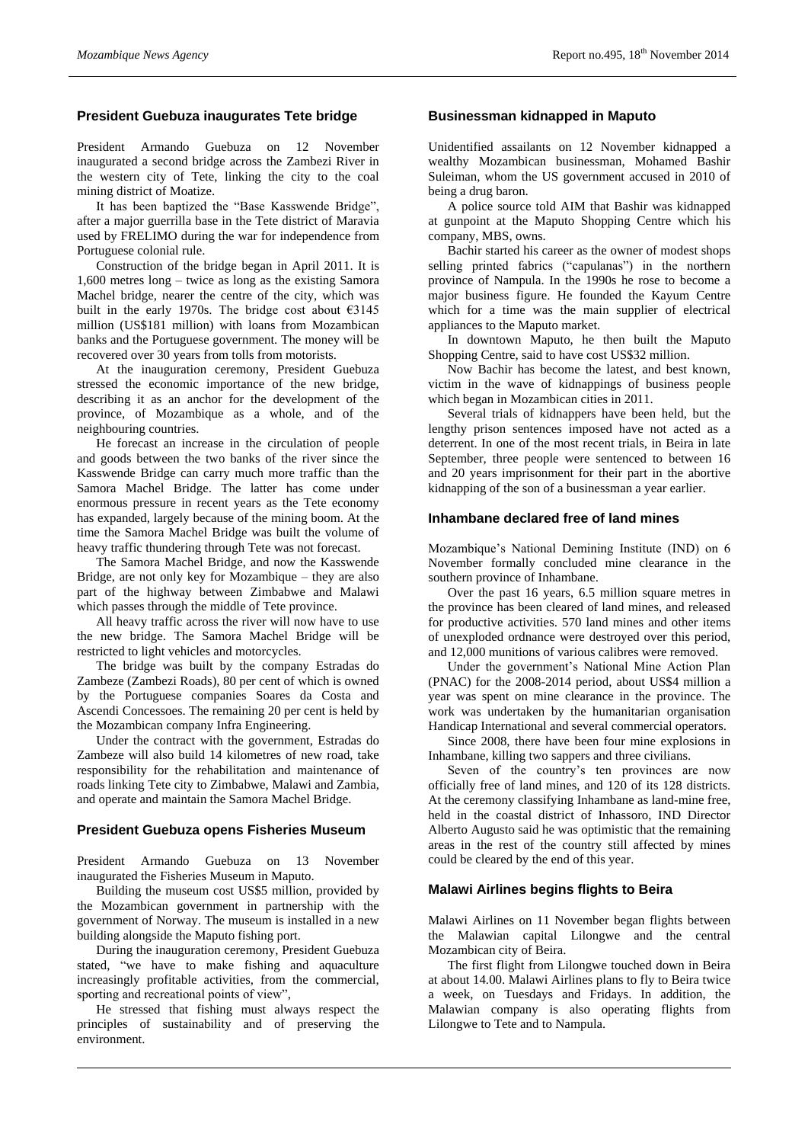#### **President Guebuza inaugurates Tete bridge**

President Armando Guebuza on 12 November inaugurated a second bridge across the Zambezi River in the western city of Tete, linking the city to the coal mining district of Moatize.

It has been baptized the "Base Kasswende Bridge", after a major guerrilla base in the Tete district of Maravia used by FRELIMO during the war for independence from Portuguese colonial rule.

Construction of the bridge began in April 2011. It is 1,600 metres long – twice as long as the existing Samora Machel bridge, nearer the centre of the city, which was built in the early 1970s. The bridge cost about €3145 million (US\$181 million) with loans from Mozambican banks and the Portuguese government. The money will be recovered over 30 years from tolls from motorists.

At the inauguration ceremony, President Guebuza stressed the economic importance of the new bridge, describing it as an anchor for the development of the province, of Mozambique as a whole, and of the neighbouring countries.

He forecast an increase in the circulation of people and goods between the two banks of the river since the Kasswende Bridge can carry much more traffic than the Samora Machel Bridge. The latter has come under enormous pressure in recent years as the Tete economy has expanded, largely because of the mining boom. At the time the Samora Machel Bridge was built the volume of heavy traffic thundering through Tete was not forecast.

The Samora Machel Bridge, and now the Kasswende Bridge, are not only key for Mozambique – they are also part of the highway between Zimbabwe and Malawi which passes through the middle of Tete province.

All heavy traffic across the river will now have to use the new bridge. The Samora Machel Bridge will be restricted to light vehicles and motorcycles.

The bridge was built by the company Estradas do Zambeze (Zambezi Roads), 80 per cent of which is owned by the Portuguese companies Soares da Costa and Ascendi Concessoes. The remaining 20 per cent is held by the Mozambican company Infra Engineering.

Under the contract with the government, Estradas do Zambeze will also build 14 kilometres of new road, take responsibility for the rehabilitation and maintenance of roads linking Tete city to Zimbabwe, Malawi and Zambia, and operate and maintain the Samora Machel Bridge.

#### **President Guebuza opens Fisheries Museum**

President Armando Guebuza on 13 November inaugurated the Fisheries Museum in Maputo.

Building the museum cost US\$5 million, provided by the Mozambican government in partnership with the government of Norway. The museum is installed in a new building alongside the Maputo fishing port.

During the inauguration ceremony, President Guebuza stated, "we have to make fishing and aquaculture increasingly profitable activities, from the commercial, sporting and recreational points of view",

He stressed that fishing must always respect the principles of sustainability and of preserving the environment.

#### **Businessman kidnapped in Maputo**

Unidentified assailants on 12 November kidnapped a wealthy Mozambican businessman, Mohamed Bashir Suleiman, whom the US government accused in 2010 of being a drug baron.

A police source told AIM that Bashir was kidnapped at gunpoint at the Maputo Shopping Centre which his company, MBS, owns.

Bachir started his career as the owner of modest shops selling printed fabrics ("capulanas") in the northern province of Nampula. In the 1990s he rose to become a major business figure. He founded the Kayum Centre which for a time was the main supplier of electrical appliances to the Maputo market.

In downtown Maputo, he then built the Maputo Shopping Centre, said to have cost US\$32 million.

Now Bachir has become the latest, and best known, victim in the wave of kidnappings of business people which began in Mozambican cities in 2011.

Several trials of kidnappers have been held, but the lengthy prison sentences imposed have not acted as a deterrent. In one of the most recent trials, in Beira in late September, three people were sentenced to between 16 and 20 years imprisonment for their part in the abortive kidnapping of the son of a businessman a year earlier.

#### **Inhambane declared free of land mines**

Mozambique's National Demining Institute (IND) on 6 November formally concluded mine clearance in the southern province of Inhambane.

Over the past 16 years, 6.5 million square metres in the province has been cleared of land mines, and released for productive activities. 570 land mines and other items of unexploded ordnance were destroyed over this period, and 12,000 munitions of various calibres were removed.

Under the government's National Mine Action Plan (PNAC) for the 2008-2014 period, about US\$4 million a year was spent on mine clearance in the province. The work was undertaken by the humanitarian organisation Handicap International and several commercial operators.

Since 2008, there have been four mine explosions in Inhambane, killing two sappers and three civilians.

Seven of the country's ten provinces are now officially free of land mines, and 120 of its 128 districts. At the ceremony classifying Inhambane as land-mine free, held in the coastal district of Inhassoro, IND Director Alberto Augusto said he was optimistic that the remaining areas in the rest of the country still affected by mines could be cleared by the end of this year.

#### **Malawi Airlines begins flights to Beira**

Malawi Airlines on 11 November began flights between the Malawian capital Lilongwe and the central Mozambican city of Beira.

The first flight from Lilongwe touched down in Beira at about 14.00. Malawi Airlines plans to fly to Beira twice a week, on Tuesdays and Fridays. In addition, the Malawian company is also operating flights from Lilongwe to Tete and to Nampula.